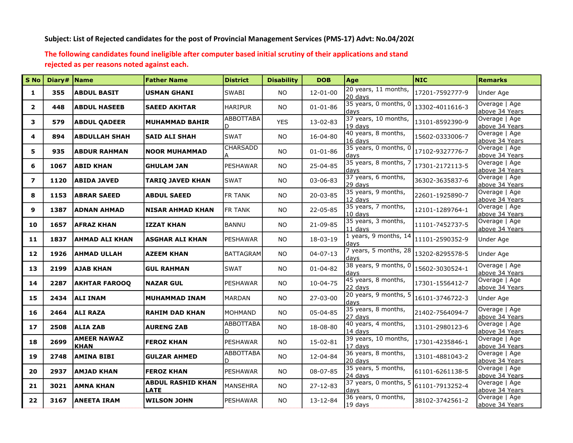## Subject: List of Rejected candidates for the post of Provincial Management Services (PMS-17) Advt: No.04/2020

## The following candidates found ineligible after computer based initial scrutiny of their applications and stand rejected as per reasons noted against each.

| S No                    | Diary#   Name |                                   | <b>Father Name</b>                      | <b>District</b>  | <b>Disability</b> | <b>DOB</b>     | Age                              | <b>NIC</b>      | <b>Remarks</b>                  |
|-------------------------|---------------|-----------------------------------|-----------------------------------------|------------------|-------------------|----------------|----------------------------------|-----------------|---------------------------------|
| $\mathbf{1}$            | 355           | <b>ABDUL BASIT</b>                | <b>USMAN GHANI</b>                      | <b>SWABI</b>     | <b>NO</b>         | $12 - 01 - 00$ | 20 years, 11 months,<br>20 days  | 17201-7592777-9 | Under Age                       |
| $\mathbf{2}$            | 448           | <b>ABDUL HASEEB</b>               | <b>SAEED AKHTAR</b>                     | <b>HARIPUR</b>   | NO.               | $01 - 01 - 86$ | 35 years, 0 months, 0<br>days    | 13302-4011616-3 | Overage   Age<br>above 34 Years |
| 3                       | 579           | <b>ABDUL QADEER</b>               | <b>MUHAMMAD BAHIR</b>                   | ABBOTTABA<br>D.  | <b>YES</b>        | 13-02-83       | 37 years, 10 months,<br>19 days  | 13101-8592390-9 | Overage   Age<br>above 34 Years |
| 4                       | 894           | <b>ABDULLAH SHAH</b>              | <b>SAID ALI SHAH</b>                    | <b>SWAT</b>      | <b>NO</b>         | 16-04-80       | 40 years, 8 months,<br>16 davs   | 15602-0333006-7 | Overage   Age<br>above 34 Years |
| 5.                      | 935           | <b>ABDUR RAHMAN</b>               | <b>NOOR MUHAMMAD</b>                    | CHARSADD<br>А    | NO.               | $01 - 01 - 86$ | 35 years, 0 months, 0<br>davs    | 17102-9327776-7 | Overage   Age<br>above 34 Years |
| 6                       | 1067          | <b>ABID KHAN</b>                  | <b>GHULAM JAN</b>                       | PESHAWAR         | <b>NO</b>         | 25-04-85       | 35 years, 8 months, 7<br>davs    | 17301-2172113-5 | Overage   Age<br>above 34 Years |
| $\overline{\mathbf{z}}$ | 1120          | <b>ABIDA JAVED</b>                | <b>TARIQ JAVED KHAN</b>                 | <b>SWAT</b>      | <b>NO</b>         | 03-06-83       | 37 years, 6 months,<br>29 days   | 36302-3635837-6 | Overage   Age<br>above 34 Years |
| 8                       | 1153          | <b>ABRAR SAEED</b>                | <b>ABDUL SAEED</b>                      | FR TANK          | NO.               | 20-03-85       | 35 years, 9 months,<br>12 davs   | 22601-1925890-7 | Overage   Age<br>above 34 Years |
| 9                       | 1387          | <b>ADNAN AHMAD</b>                | <b>NISAR AHMAD KHAN</b>                 | <b>FR TANK</b>   | NO.               | 22-05-85       | 35 years, 7 months,<br>$10$ davs | 12101-1289764-1 | Overage   Age<br>above 34 Years |
| 10                      | 1657          | <b>AFRAZ KHAN</b>                 | <b>IZZAT KHAN</b>                       | <b>BANNU</b>     | <b>NO</b>         | 21-09-85       | 35 years, 3 months,<br>$11$ days | 11101-7452737-5 | Overage   Age<br>above 34 Years |
| 11                      | 1837          | <b>AHMAD ALI KHAN</b>             | <b>ASGHAR ALI KHAN</b>                  | PESHAWAR         | <b>NO</b>         | 18-03-19       | 1 years, 9 months, 14<br>days    | 11101-2590352-9 | Under Age                       |
| 12                      | 1926          | <b>AHMAD ULLAH</b>                | <b>AZEEM KHAN</b>                       | <b>BATTAGRAM</b> | <b>NO</b>         | $04 - 07 - 13$ | 7 years, 5 months, 28<br>days    | 13202-8295578-5 | Under Age                       |
| 13                      | 2199          | <b>AJAB KHAN</b>                  | <b>GUL RAHMAN</b>                       | <b>SWAT</b>      | NO.               | $01 - 04 - 82$ | 38 years, 9 months, 0<br>davs    | 15602-3030524-1 | Overage   Age<br>above 34 Years |
| 14                      | 2287          | <b>AKHTAR FAROOQ</b>              | <b>NAZAR GUL</b>                        | <b>PESHAWAR</b>  | <b>NO</b>         | $10 - 04 - 75$ | 45 years, 8 months,<br>22 days   | 17301-1556412-7 | Overage   Age<br>above 34 Years |
| 15                      | 2434          | <b>ALI INAM</b>                   | <b>MUHAMMAD INAM</b>                    | <b>MARDAN</b>    | <b>NO</b>         | 27-03-00       | 20 years, 9 months, 5<br>days    | 16101-3746722-3 | Under Age                       |
| 16                      | 2464          | <b>ALI RAZA</b>                   | <b>RAHIM DAD KHAN</b>                   | MOHMAND          | <b>NO</b>         | 05-04-85       | 35 years, 8 months,<br>27 days   | 21402-7564094-7 | Overage   Age<br>above 34 Years |
| 17                      | 2508          | <b>ALIA ZAB</b>                   | <b>AURENG ZAB</b>                       | ABBOTTABA<br>D.  | NO.               | 18-08-80       | 40 years, 4 months,<br>$14$ days | 13101-2980123-6 | Overage   Age<br>above 34 Years |
| 18                      | 2699          | <b>AMEER NAWAZ</b><br><b>KHAN</b> | <b>FEROZ KHAN</b>                       | <b>PESHAWAR</b>  | NO.               | 15-02-81       | 39 years, 10 months,<br>17 days  | 17301-4235846-1 | Overage   Age<br>above 34 Years |
| 19                      | 2748          | <b>AMINA BIBI</b>                 | <b>GULZAR AHMED</b>                     | ABBOTTABA<br>D   | <b>NO</b>         | 12-04-84       | 36 years, 8 months,<br>20 days   | 13101-4881043-2 | Overage   Age<br>above 34 Years |
| 20                      | 2937          | <b>AMJAD KHAN</b>                 | <b>FEROZ KHAN</b>                       | PESHAWAR         | <b>NO</b>         | 08-07-85       | 35 years, 5 months,<br>24 days   | 61101-6261138-5 | Overage   Age<br>above 34 Years |
| 21                      | 3021          | <b>AMNA KHAN</b>                  | <b>ABDUL RASHID KHAN</b><br><b>LATE</b> | MANSEHRA         | <b>NO</b>         | 27-12-83       | 37 years, 0 months, 5<br>davs    | 61101-7913252-4 | Overage   Age<br>above 34 Years |
| 22                      | 3167          | <b>ANEETA IRAM</b>                | <b>WILSON JOHN</b>                      | <b>PESHAWAR</b>  | <b>NO</b>         | 13-12-84       | 36 years, 0 months,<br>$19$ days | 38102-3742561-2 | Overage   Age<br>above 34 Years |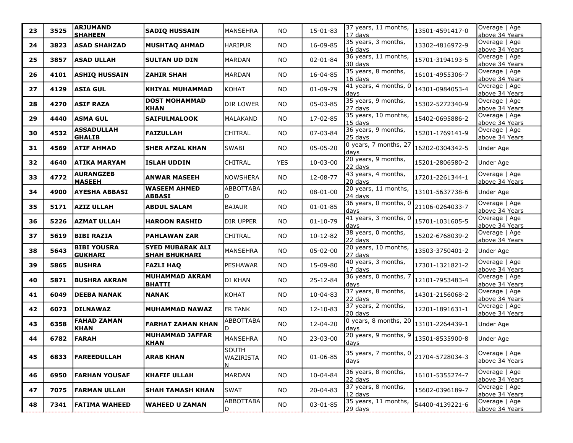| 23 | 3525 | <b>ARJUMAND</b><br><b>SHAHEEN</b>    | <b>SADIQ HUSSAIN</b>                            | MANSEHRA                       | <b>NO</b>  | 15-01-83       | 37 years, 11 months,<br>17 days | 13501-4591417-0 | Overage   Age<br>above 34 Years |
|----|------|--------------------------------------|-------------------------------------------------|--------------------------------|------------|----------------|---------------------------------|-----------------|---------------------------------|
| 24 | 3823 | <b>ASAD SHAHZAD</b>                  | <b>MUSHTAQ AHMAD</b>                            | <b>HARIPUR</b>                 | NO         | 16-09-85       | 35 years, 3 months,<br>16 days  | 13302-4816972-9 | Overage   Age<br>above 34 Years |
| 25 | 3857 | <b>ASAD ULLAH</b>                    | <b>SULTAN UD DIN</b>                            | <b>MARDAN</b>                  | <b>NO</b>  | $02 - 01 - 84$ | 36 years, 11 months,<br>30 days | 15701-3194193-5 | Overage   Age<br>above 34 Years |
| 26 | 4101 | <b>ASHIQ HUSSAIN</b>                 | <b>ZAHIR SHAH</b>                               | MARDAN                         | <b>NO</b>  | 16-04-85       | 35 years, 8 months,<br>16 days  | 16101-4955306-7 | Overage   Age<br>above 34 Years |
| 27 | 4129 | <b>ASIA GUL</b>                      | KHIYAL MUHAMMAD                                 | KOHAT                          | <b>NO</b>  | $01 - 09 - 79$ | 41 years, 4 months, 0<br>days   | 14301-0984053-4 | Overage   Age<br>above 34 Years |
| 28 | 4270 | <b>ASIF RAZA</b>                     | <b>DOST MOHAMMAD</b><br><b>KHAN</b>             | DIR LOWER                      | <b>NO</b>  | 05-03-85       | 35 years, 9 months,<br>27 days  | 15302-5272340-9 | Overage   Age<br>above 34 Years |
| 29 | 4440 | <b>ASMA GUL</b>                      | <b>SAIFULMALOOK</b>                             | <b>MALAKAND</b>                | <b>NO</b>  | 17-02-85       | 35 years, 10 months,<br>15 days | 15402-0695886-2 | Overage   Age<br>above 34 Years |
| 30 | 4532 | <b>ASSADULLAH</b><br><b>GHALIB</b>   | <b>FAIZULLAH</b>                                | <b>CHITRAL</b>                 | NO         | 07-03-84       | 36 years, 9 months,<br>25 days  | 15201-1769141-9 | Overage   Age<br>above 34 Years |
| 31 | 4569 | <b>ATIF AHMAD</b>                    | <b>SHER AFZAL KHAN</b>                          | <b>SWABI</b>                   | <b>NO</b>  | 05-05-20       | 0 years, 7 months, 27<br>days   | 16202-0304342-5 | Under Age                       |
| 32 | 4640 | ATIKA MARYAM                         | <b>ISLAH UDDIN</b>                              | <b>CHITRAL</b>                 | <b>YES</b> | 10-03-00       | 20 years, 9 months,<br>22 days  | 15201-2806580-2 | Under Age                       |
| 33 | 4772 | <b>AURANGZEB</b><br><b>MASEEH</b>    | <b>ANWAR MASEEH</b>                             | NOWSHERA                       | <b>NO</b>  | 12-08-77       | 43 years, 4 months,<br>20 days  | 17201-2261344-1 | Overage   Age<br>above 34 Years |
| 34 | 4900 | AYESHA ABBASI                        | <b>WASEEM AHMED</b><br><b>ABBASI</b>            | <b>ABBOTTABA</b><br>D          | <b>NO</b>  | $08 - 01 - 00$ | 20 years, 11 months,<br>24 days | 13101-5637738-6 | Under Age                       |
| 35 | 5171 | <b>AZIZ ULLAH</b>                    | <b>ABDUL SALAM</b>                              | <b>BAJAUR</b>                  | <b>NO</b>  | $01 - 01 - 85$ | 36 years, 0 months, 0<br>days   | 21106-0264033-7 | Overage   Age<br>above 34 Years |
| 36 | 5226 | <b>AZMAT ULLAH</b>                   | <b>HAROON RASHID</b>                            | DIR UPPER                      | <b>NO</b>  | $01 - 10 - 79$ | 41 years, 3 months, 0<br>days   | 15701-1031605-5 | Overage   Age<br>above 34 Years |
| 37 | 5619 | <b>BIBI RAZIA</b>                    | <b>PAHLAWAN ZAR</b>                             | <b>CHITRAL</b>                 | NO         | $10 - 12 - 82$ | 38 years, 0 months,<br>22 days  | 15202-6768039-2 | Overage   Age<br>above 34 Years |
| 38 | 5643 | <b>BIBI YOUSRA</b><br><b>GUKHARI</b> | <b>SYED MUBARAK ALI</b><br><b>SHAH BHUKHARI</b> | MANSEHRA                       | NO         | 05-02-00       | 20 years, 10 months,<br>27 days | 13503-3750401-2 | Under Age                       |
| 39 | 5865 | <b>BUSHRA</b>                        | <b>FAZLI HAQ</b>                                | PESHAWAR                       | <b>NO</b>  | 15-09-80       | 40 years, 3 months,<br>17 days  | 17301-1321821-2 | Overage   Age<br>above 34 Years |
| 40 | 5871 | <b>BUSHRA AKRAM</b>                  | <b>MUHAMMAD AKRAM</b><br><b>BHATTI</b>          | DI KHAN                        | NO         | 25-12-84       | 36 years, 0 months, 7<br>days   | 12101-7953483-4 | Overage   Age<br>above 34 Years |
| 41 | 6049 | <b>DEEBA NANAK</b>                   | <b>NANAK</b>                                    | KOHAT                          | <b>NO</b>  | 10-04-83       | 37 years, 8 months,<br>22 days  | 14301-2156068-2 | Overage   Age<br>above 34 Years |
| 42 | 6073 | <b>DILNAWAZ</b>                      | <b>MUHAMMAD NAWAZ</b>                           | <b>FR TANK</b>                 | <b>NO</b>  | $12 - 10 - 83$ | 37 years, 2 months,<br>20 days  | 12201-1891631-1 | Overage   Age<br>above 34 Years |
| 43 | 6358 | <b>FAHAD ZAMAN</b><br><b>KHAN</b>    | <b>FARHAT ZAMAN KHAN</b>                        | ABBOTTABA<br>D                 | <b>NO</b>  | 12-04-20       | 0 years, 8 months, 20<br>days   | 13101-2264439-1 | Under Age                       |
| 44 | 6782 | FARAH                                | <b>MUHAMMAD JAFFAR</b><br><b>KHAN</b>           | MANSEHRA                       | <b>NO</b>  | 23-03-00       | 20 years, 9 months, 9<br>days   | 13501-8535900-8 | Under Age                       |
| 45 | 6833 | <b>FAREEDULLAH</b>                   | <b>ARAB KHAN</b>                                | <b>SOUTH</b><br>WAZIRISTA<br>N | NO         | $01 - 06 - 85$ | 35 years, 7 months, 0<br>days   | 21704-5728034-3 | Overage   Age<br>above 34 Years |
| 46 | 6950 | <b>FARHAN YOUSAF</b>                 | <b>KHAFIF ULLAH</b>                             | MARDAN                         | <b>NO</b>  | 10-04-84       | 36 years, 8 months,<br>22 days  | 16101-5355274-7 | Overage   Age<br>above 34 Years |
| 47 | 7075 | <b>FARMAN ULLAH</b>                  | SHAH TAMASH KHAN                                | <b>SWAT</b>                    | <b>NO</b>  | 20-04-83       | 37 years, 8 months,<br>12 days  | 15602-0396189-7 | Overage   Age<br>above 34 Years |
| 48 | 7341 | <b>FATIMA WAHEED</b>                 | <b>WAHEED U ZAMAN</b>                           | ABBOTTABA<br>ID.               | <b>NO</b>  | 03-01-85       | 35 years, 11 months,<br>29 days | 54400-4139221-6 | Overage   Age<br>above 34 Years |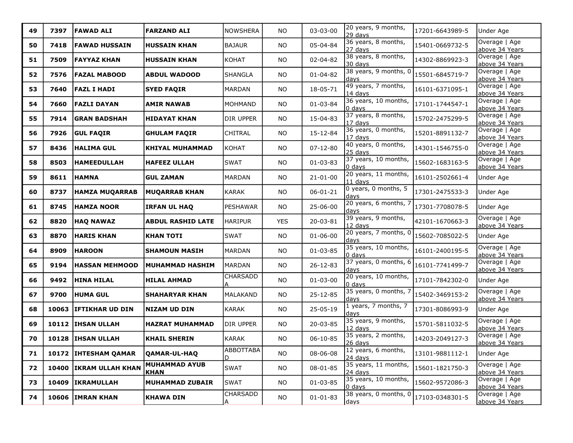| 49 | 7397  | <b>FAWAD ALI</b>       | <b>FARZAND ALI</b>                  | NOWSHERA         | <b>NO</b>  | 03-03-00       | 20 years, 9 months,<br>29 days    | 17201-6643989-5 | Under Age                       |
|----|-------|------------------------|-------------------------------------|------------------|------------|----------------|-----------------------------------|-----------------|---------------------------------|
| 50 | 7418  | FAWAD HUSSAIN          | <b>HUSSAIN KHAN</b>                 | <b>BAJAUR</b>    | <b>NO</b>  | 05-04-84       | 36 years, 8 months,<br>27 days    | 15401-0669732-5 | Overage   Age<br>above 34 Years |
| 51 | 7509  | FAYYAZ KHAN            | <b>HUSSAIN KHAN</b>                 | KOHAT            | <b>NO</b>  | 02-04-82       | 38 years, 8 months,<br>30 days    | 14302-8869923-3 | Overage   Age<br>above 34 Years |
| 52 | 7576  | <b>FAZAL MABOOD</b>    | <b>ABDUL WADOOD</b>                 | <b>SHANGLA</b>   | <b>NO</b>  | $01 - 04 - 82$ | 38 years, 9 months, 0<br>days     | 15501-6845719-7 | Overage   Age<br>above 34 Years |
| 53 | 7640  | FAZL I HADI            | <b>SYED FAQIR</b>                   | MARDAN           | <b>NO</b>  | 18-05-71       | 49 years, 7 months,<br>14 days    | 16101-6371095-1 | Overage   Age<br>above 34 Years |
| 54 | 7660  | FAZLI DAYAN            | <b>AMIR NAWAB</b>                   | MOHMAND          | <b>NO</b>  | $01 - 03 - 84$ | 36 years, 10 months,<br>l0 davs   | 17101-1744547-1 | Overage   Age<br>above 34 Years |
| 55 | 7914  | GRAN BADSHAH           | <b>HIDAYAT KHAN</b>                 | DIR UPPER        | <b>NO</b>  | 15-04-83       | 37 years, 8 months,<br>17 days    | 15702-2475299-5 | Overage   Age<br>above 34 Years |
| 56 | 7926  | <b>GUL FAQIR</b>       | <b>GHULAM FAQIR</b>                 | <b>CHITRAL</b>   | <b>NO</b>  | 15-12-84       | 36 years, 0 months,<br>$17$ days  | 15201-8891132-7 | Overage   Age<br>above 34 Years |
| 57 | 8436  | HALIMA GUL             | <b>KHIYAL MUHAMMAD</b>              | KOHAT            | <b>NO</b>  | $07 - 12 - 80$ | 40 years, 0 months,<br>25 days    | 14301-1546755-0 | Overage   Age<br>above 34 Years |
| 58 | 8503  | <b>HAMEEDULLAH</b>     | <b>HAFEEZ ULLAH</b>                 | <b>SWAT</b>      | NO.        | $01 - 03 - 83$ | 37 years, 10 months,<br>0 days    | 15602-1683163-5 | Overage   Age<br>above 34 Years |
| 59 | 8611  | <b>HAMNA</b>           | <b>GUL ZAMAN</b>                    | <b>MARDAN</b>    | <b>NO</b>  | $21 - 01 - 00$ | 20 years, 11 months,<br>$11$ days | 16101-2502661-4 | Under Age                       |
| 60 | 8737  | <b>HAMZA MUQARRAB</b>  | <b>MUQARRAB KHAN</b>                | <b>KARAK</b>     | NO         | $06 - 01 - 21$ | 0 years, 0 months, 5<br>days      | 17301-2475533-3 | Under Age                       |
| 61 | 8745  | <b>HAMZA NOOR</b>      | <b>IRFAN UL HAQ</b>                 | <b>PESHAWAR</b>  | <b>NO</b>  | 25-06-00       | 20 years, 6 months, 7<br>days     | 17301-7708078-5 | Under Age                       |
| 62 | 8820  | <b>HAQ NAWAZ</b>       | <b>ABDUL RASHID LATE</b>            | <b>HARIPUR</b>   | <b>YES</b> | 20-03-81       | 39 years, 9 months,<br>12 days    | 42101-1670663-3 | Overage   Age<br>above 34 Years |
| 63 | 8870  | HARIS KHAN             | <b>KHAN TOTI</b>                    | SWAT             | NO.        | $01 - 06 - 00$ | 20 years, 7 months, 0<br>davs     | 15602-7085022-5 | Under Age                       |
| 64 | 8909  | <b>HAROON</b>          | <b>SHAMOUN MASIH</b>                | <b>MARDAN</b>    | <b>NO</b>  | $01 - 03 - 85$ | 35 years, 10 months,<br>0 days    | 16101-2400195-5 | Overage   Age<br>above 34 Years |
| 65 | 9194  | <b>HASSAN MEHMOOD</b>  | <b>MUHAMMAD HASHIM</b>              | MARDAN           | <b>NO</b>  | 26-12-83       | 37 years, 0 months, 6<br>days     | 16101-7741499-7 | Overage   Age<br>above 34 Years |
| 66 | 9492  | <b>HINA HILAL</b>      | <b>HILAL AHMAD</b>                  | CHARSADD<br>А    | <b>NO</b>  | $01 - 03 - 00$ | 20 years, 10 months,<br>$0$ days  | 17101-7842302-0 | Under Age                       |
| 67 | 9700  | <b>HUMA GUL</b>        | <b>SHAHARYAR KHAN</b>               | MALAKAND         | <b>NO</b>  | 25-12-85       | 35 years, 0 months, 7<br>davs     | 15402-3469153-2 | Overage   Age<br>above 34 Years |
| 68 | 10063 | <b>IFTIKHAR UD DIN</b> | <b>NIZAM UD DIN</b>                 | <b>KARAK</b>     | <b>NO</b>  | $25 - 05 - 19$ | 1 years, 7 months, 7<br>days      | 17301-8086993-9 | Under Age                       |
| 69 |       | 10112   IHSAN ULLAH    | <b>HAZRAT MUHAMMAD</b>              | DIR UPPER        | NO         | 20-03-85       | 35 years, 9 months,<br>12 days    | 15701-5811032-5 | Overage   Age<br>above 34 Years |
| 70 | 10128 | <b>IHSAN ULLAH</b>     | <b>KHAIL SHERIN</b>                 | <b>KARAK</b>     | <b>NO</b>  | $06 - 10 - 85$ | 35 years, 2 months,<br>26 days    | 14203-2049127-3 | Overage   Age<br>above 34 Years |
| 71 |       | 10172 IHTESHAM QAMAR   | QAMAR-UL-HAQ                        | ABBOTTABA <br>D. | ΝO         | 08-06-08       | 12 years, 6 months,<br>24 days    | 13101-9881112-1 | Under Age                       |
| 72 |       | 10400 IKRAM ULLAH KHAN | <b>MUHAMMAD AYUB</b><br><b>KHAN</b> | <b>SWAT</b>      | NO         | 08-01-85       | 35 years, 11 months,<br>$24$ days | 15601-1821750-3 | Overage   Age<br>above 34 Years |
| 73 |       | 10409 IKRAMULLAH       | <b>MUHAMMAD ZUBAIR</b>              | <b>SWAT</b>      | NO.        | $01 - 03 - 85$ | 35 years, 10 months,<br>$0$ days  | 15602-9572086-3 | Overage   Age<br>above 34 Years |
| 74 |       | 10606 IMRAN KHAN       | <b>KHAWA DIN</b>                    | CHARSADD<br>Α    | NO         | $01 - 01 - 83$ | 38 years, 0 months, 0<br>days     | 17103-0348301-5 | Overage   Age<br>above 34 Years |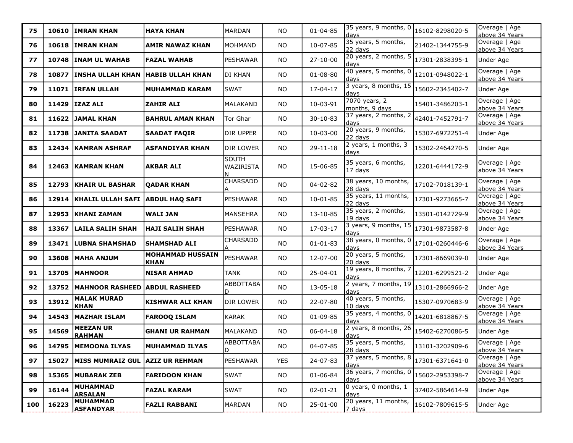| 75  | 10610 | <b>IMRAN KHAN</b>                      | <b>HAYA KHAN</b>                       | MARDAN                    | <b>NO</b>  | $01 - 04 - 85$ | 35 years, 9 months, 0<br>davs   | 16102-8298020-5 | Overage   Age<br>above 34 Years |
|-----|-------|----------------------------------------|----------------------------------------|---------------------------|------------|----------------|---------------------------------|-----------------|---------------------------------|
| 76  |       | 10618 IMRAN KHAN                       | <b>AMIR NAWAZ KHAN</b>                 | MOHMAND                   | <b>NO</b>  | 10-07-85       | 35 years, 5 months,<br>22 days  | 21402-1344755-9 | Overage   Age<br>above 34 Years |
| 77  | 10748 | <b>INAM UL WAHAB</b>                   | <b>FAZAL WAHAB</b>                     | PESHAWAR                  | <b>NO</b>  | $27 - 10 - 00$ | 20 years, 2 months, 5<br>davs   | 17301-2838395-1 | Under Age                       |
| 78  | 10877 | <b>INSHA ULLAH KHAN</b>                | <b>HABIB ULLAH KHAN</b>                | DI KHAN                   | <b>NO</b>  | $01 - 08 - 80$ | 40 years, 5 months, 0<br>days   | 12101-0948022-1 | Overage   Age<br>above 34 Years |
| 79  |       | 11071 IRFAN ULLAH                      | <b>MUHAMMAD KARAM</b>                  | SWAT                      | NO         | 17-04-17       | 3 years, 8 months, 15<br>days   | 15602-2345402-7 | Under Age                       |
| 80  | 11429 | IZAZ ALI                               | <b>ZAHIR ALI</b>                       | MALAKAND                  | <b>NO</b>  | 10-03-91       | 7070 years, 2<br>months, 9 days | 15401-3486203-1 | Overage   Age<br>above 34 Years |
| 81  |       | 11622 JAMAL KHAN                       | <b>BAHRUL AMAN KHAN</b>                | Tor Ghar                  | <b>NO</b>  | $30 - 10 - 83$ | 37 years, 2 months, 2<br>days   | 42401-7452791-7 | Overage   Age<br>above 34 Years |
| 82  | 11738 | <b>JANITA SAADAT</b>                   | <b>SAADAT FAQIR</b>                    | dir upper                 | <b>NO</b>  | 10-03-00       | 20 years, 9 months,<br>22 days  | 15307-6972251-4 | Under Age                       |
| 83  | 12434 | KAMRAN ASHRAF                          | <b>ASFANDIYAR KHAN</b>                 | DIR LOWER                 | <b>NO</b>  | $29 - 11 - 18$ | 2 years, 1 months, 3<br>days    | 15302-2464270-5 | Under Age                       |
| 84  |       | 12463 KAMRAN KHAN                      | <b>AKBAR ALI</b>                       | <b>SOUTH</b><br>WAZIRISTA | NO         | 15-06-85       | 35 years, 6 months,<br>17 days  | 12201-6444172-9 | Overage   Age<br>above 34 Years |
| 85  |       | <b>12793 KHAIR UL BASHAR</b>           | <b>QADAR KHAN</b>                      | CHARSADD                  | NO         | 04-02-82       | 38 years, 10 months,<br>28 days | 17102-7018139-1 | Overage   Age<br>above 34 Years |
| 86  | 12914 | KHALIL ULLAH SAFI ABDUL HAQ SAFI       |                                        | PESHAWAR                  | <b>NO</b>  | $10 - 01 - 85$ | 35 years, 11 months,<br>22 days | 17301-9273665-7 | Overage   Age<br>above 34 Years |
| 87  |       | 12953 KHANI ZAMAN                      | <b>WALI JAN</b>                        | <b>MANSEHRA</b>           | <b>NO</b>  | $13 - 10 - 85$ | 35 years, 2 months,<br>19 davs  | 13501-0142729-9 | Overage   Age<br>above 34 Years |
| 88  | 13367 | LAILA SALIH SHAH                       | <b>HAJI SALIH SHAH</b>                 | PESHAWAR                  | <b>NO</b>  | 17-03-17       | 3 years, 9 months, 15<br>davs   | 17301-9873587-8 | Under Age                       |
| 89  | 13471 | <b>LUBNA SHAMSHAD</b>                  | <b>SHAMSHAD ALI</b>                    | CHARSADD                  | NO         | $01 - 01 - 83$ | 38 years, 0 months, 0<br>days   | 17101-0260446-6 | Overage   Age<br>above 34 Years |
| 90  | 13608 | <b>MAHA ANJUM</b>                      | <b>MOHAMMAD HUSSAIN</b><br><b>KHAN</b> | PESHAWAR                  | <b>NO</b>  | 12-07-00       | 20 years, 5 months,<br>20 days  | 17301-8669039-0 | Under Age                       |
| 91  | 13705 | <b>MAHNOOR</b>                         | <b>NISAR AHMAD</b>                     | <b>TANK</b>               | <b>NO</b>  | 25-04-01       | 19 years, 8 months, 7<br>davs   | 12201-6299521-2 | Under Age                       |
| 92  |       | 13752  MAHNOOR RASHEED   ABDUL RASHEED |                                        | <b>ABBOTTABA</b><br>D     | NO         | 13-05-18       | 2 years, 7 months, 19<br>days   | 13101-2866966-2 | Under Age                       |
| 93  | 13912 | <b>MALAK MURAD</b><br><b>KHAN</b>      | KISHWAR ALI KHAN                       | DIR LOWER                 | <b>NO</b>  | 22-07-80       | 40 years, 5 months,<br>10 days  | 15307-0970683-9 | Overage   Age<br>above 34 Years |
| 94  |       | 14543   MAZHAR ISLAM                   | <b>FAROOQ ISLAM</b>                    | KARAK                     | <b>NO</b>  | $01 - 09 - 85$ | 35 years, 4 months, 0<br>days   | 14201-6818867-5 | Overage   Age<br>above 34 Years |
| 95  | 14569 | <b>MEEZAN UR</b><br><b>RAHMAN</b>      | <b>GHANI UR RAHMAN</b>                 | MALAKAND                  | <b>NO</b>  | $06 - 04 - 18$ | 2 years, 8 months, 26<br>days   | 15402-6270086-5 | Under Age                       |
| 96  |       | 14795   MEMOONA ILYAS                  | <b>MUHAMMAD ILYAS</b>                  | <b>ABBOTTABA</b><br>ID.   | <b>NO</b>  | 04-07-85       | 35 years, 5 months,<br>28 days  | 13101-3202909-6 | Overage   Age<br>above 34 Years |
| 97  |       | 15027 MISS MUMRAIZ GUL AZIZ UR REHMAN  |                                        | PESHAWAR                  | <b>YES</b> | 24-07-83       | 37 years, 5 months, 8<br>days   | 17301-6371641-0 | Overage   Age<br>above 34 Years |
| 98  |       | 15365   MUBARAK ZEB                    | <b>FARIDOON KHAN</b>                   | <b>SWAT</b>               | NO.        | $01 - 06 - 84$ | 36 years, 7 months, 0<br>days   | 15602-2953398-7 | Overage   Age<br>above 34 Years |
| 99  | 16144 | <b>MUHAMMAD</b><br><b>ARSALAN</b>      | <b>FAZAL KARAM</b>                     | <b>SWAT</b>               | NO.        | $02 - 01 - 21$ | 0 years, 0 months, 1<br>davs    | 37402-5864614-9 | Under Age                       |
| 100 | 16223 | <b>MUHAMMAD</b><br><b>ASFANDYAR</b>    | <b>FAZLI RABBANI</b>                   | MARDAN                    | <b>NO</b>  | 25-01-00       | 20 years, 11 months,<br>7 days  | 16102-7809615-5 | Under Age                       |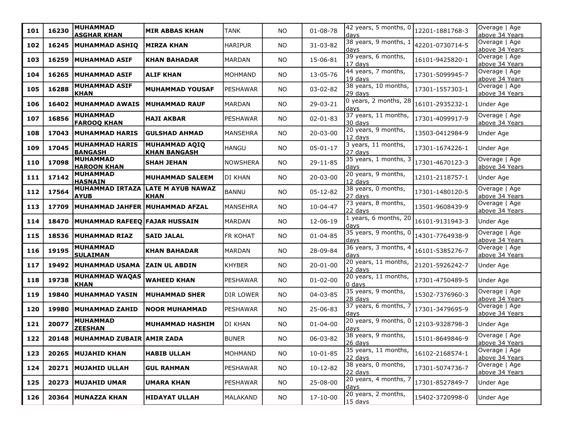| 101 | 16230 | <b>MUHAMMAD</b><br><b>ASGHAR KHAN</b>   | <b>MIR ABBAS KHAN</b>                   | <b>TANK</b>      | <b>NO</b> | $01 - 08 - 78$ | 42 years, 5 months, 0<br>days     | 12201-1881768-3 | Overage   Age<br>above 34 Years |
|-----|-------|-----------------------------------------|-----------------------------------------|------------------|-----------|----------------|-----------------------------------|-----------------|---------------------------------|
| 102 | 16245 | <b>MUHAMMAD ASHIQ</b>                   | <b>MIRZA KHAN</b>                       | <b>HARIPUR</b>   | <b>NO</b> | 31-03-82       | 38 years, 9 months, 1<br>days     | 42201-0730714-5 | Overage   Age<br>above 34 Years |
| 103 | 16259 | MUHAMMAD ASIF                           | <b>KHAN BAHADAR</b>                     | MARDAN           | <b>NO</b> | 15-06-81       | 39 years, 6 months,<br>$17$ days  | 16101-9425820-1 | Overage   Age<br>above 34 Years |
| 104 | 16265 | <b> MUHAMMAD ASIF</b>                   | <b>ALIF KHAN</b>                        | MOHMAND          | <b>NO</b> | 13-05-76       | 44 years, 7 months,<br>19 days    | 17301-5099945-7 | Overage   Age<br>above 34 Years |
| 105 | 16288 | <b>MUHAMMAD ASIF</b><br>KHAN            | <b>MUHAMMAD YOUSAF</b>                  | PESHAWAR         | <b>NO</b> | 03-02-82       | 38 years, 10 months,<br>29 days   | 17301-1557303-1 | Overage   Age<br>above 34 Years |
| 106 | 16402 | <b>MUHAMMAD AWAIS</b>                   | MUHAMMAD RAUF                           | MARDAN           | <b>NO</b> | 29-03-21       | 0 years, 2 months, 28<br>days     | 16101-2935232-1 | Under Age                       |
| 107 | 16856 | <b>MUHAMMAD</b><br><b>FAROOQ KHAN</b>   | <b>HAJI AKBAR</b>                       | PESHAWAR         | <b>NO</b> | $02 - 01 - 83$ | 37 years, 11 months,<br>30 days   | 17301-4099917-9 | Overage   Age<br>above 34 Years |
| 108 | 17043 | MUHAMMAD HARIS                          | <b>GULSHAD AHMAD</b>                    | <b>MANSEHRA</b>  | <b>NO</b> | $20 - 03 - 00$ | 20 years, 9 months,<br>$12$ days  | 13503-0412984-9 | Under Age                       |
| 109 | 17045 | <b>MUHAMMAD HARIS</b><br><b>BANGASH</b> | MUHAMMAD AQIQ<br><b>KHAN BANGASH</b>    | <b>HANGU</b>     | <b>NO</b> | $05 - 01 - 17$ | 3 years, 11 months,<br>27 days    | 17301-1674226-1 | Under Age                       |
| 110 | 17098 | <b>MUHAMMAD</b><br><b>HAROON KHAN</b>   | <b>SHAH JEHAN</b>                       | <b>NOWSHERA</b>  | <b>NO</b> | 29-11-85       | 35 years, 1 months, 3<br>ldays    | 17301-4670123-3 | Overage   Age<br>above 34 Years |
| 111 | 17142 | <b>MUHAMMAD</b><br><b>HASNAIN</b>       | <b>MUHAMMAD SALEEM</b>                  | Idi khan         | <b>NO</b> | 20-03-00       | 20 years, 9 months,<br>$12$ days  | 12101-2118757-1 | Under Age                       |
| 112 | 17564 | <b>MUHAMMAD IRTAZA</b><br><b>AYUB</b>   | <b>LATE M AYUB NAWAZ</b><br><b>KHAN</b> | BANNU            | <b>NO</b> | 05-12-82       | 38 years, 0 months,<br>27 days    | 17301-1480120-5 | Overage   Age<br>above 34 Years |
| 113 | 17709 | <b>MUHAMMAD JAHFER</b>                  | MUHAMMAD AFZAL                          | <b>MANSEHRA</b>  | <b>NO</b> | $10 - 04 - 47$ | 73 years, 8 months,<br>22 days    | 13501-9608439-9 | Overage   Age<br>above 34 Years |
| 114 | 18470 | MUHAMMAD RAFEEQ FAJAR HUSSAIN           |                                         | MARDAN           | <b>NO</b> | 12-06-19       | 1 years, 6 months, 20<br>days     | 16101-9131943-3 | Under Age                       |
| 115 | 18536 | <b>MUHAMMAD RIAZ</b>                    | <b>SAID JALAL</b>                       | FR KOHAT         | <b>NO</b> | $01 - 04 - 85$ | 35 years, 9 months, 0<br>days     | 14301-7764938-9 | Overage   Age<br>above 34 Years |
| 116 | 19195 | <b>MUHAMMAD</b><br><b>SULAIMAN</b>      | <b>KHAN BAHADAR</b>                     | MARDAN           | <b>NO</b> | 28-09-84       | 36 years, 3 months, 4<br>davs     | 16101-5385276-7 | Overage   Age<br>above 34 Years |
| 117 |       | 19492   MUHAMMAD USAMA                  | ZAIN UL ABDIN                           | KHYBER           | <b>NO</b> | $20 - 01 - 00$ | 20 years, 11 months,<br>$12$ days | 21201-5926242-7 | Under Age                       |
| 118 | 19738 | <b>MUHAMMAD WAQAS</b><br><b>KHAN</b>    | <b>WAHEED KHAN</b>                      | PESHAWAR         | <b>NO</b> | $01 - 02 - 00$ | 20 years, 11 months,<br>0 days    | 17301-4750489-5 | Under Age                       |
| 119 | 19840 | MUHAMMAD YASIN                          | <b>MUHAMMAD SHER</b>                    | <b>DIR LOWER</b> | <b>NO</b> | 04-03-85       | 35 years, 9 months,<br>28 days    | 15302-7376960-3 | Overage   Age<br>above 34 Years |
| 120 | 19980 | MUHAMMAD ZAHID                          | <b>NOOR MUHAMMAD</b>                    | PESHAWAR         | NO        | 25-06-83       | 37 years, 6 months, 7<br>days     | 17301-3479695-9 | Overage   Age<br>above 34 Years |
| 121 | 20077 | <b>MUHAMMAD</b><br><b>ZEESHAN</b>       | <b>MUHAMMAD HASHIM</b>                  | DI KHAN          | <b>NO</b> | $01 - 04 - 00$ | 20 years, 9 months, 0<br>davs     | 12103-9328798-3 | Under Age                       |
| 122 | 20148 | MUHAMMAD ZUBAIR AMIR ZADA               |                                         | <b>BUNER</b>     | NO.       | 06-03-82       | 38 years, 9 months,<br>$26$ days  | 15101-8649846-9 | Overage   Age<br>above 34 Years |
| 123 |       | 20265 MUJAHID KHAN                      | <b>HABIB ULLAH</b>                      | MOHMAND          | NO.       | $10 - 01 - 85$ | 35 years, 11 months,<br>$22$ days | 16102-2168574-1 | Overage   Age<br>above 34 Years |
| 124 | 20271 | <b>MUJAHID ULLAH</b>                    | <b>GUL RAHMAN</b>                       | PESHAWAR         | NO        | 10-12-82       | 38 years, 0 months,<br>$22$ days  | 17301-5074736-7 | Overage   Age<br>above 34 Years |
| 125 | 20273 | <b>MUJAHID UMAR</b>                     | <b>UMARA KHAN</b>                       | PESHAWAR         | NO        | 25-08-00       | 20 years, 4 months, 7<br>days     | 17301-8527849-7 | Under Age                       |
| 126 | 20364 | MUNAZZA KHAN                            | <b>HIDAYAT ULLAH</b>                    | MALAKAND         | NO        | 17-10-00       | 20 years, 2 months,<br>$15$ days  | 15402-3720998-0 | Under Age                       |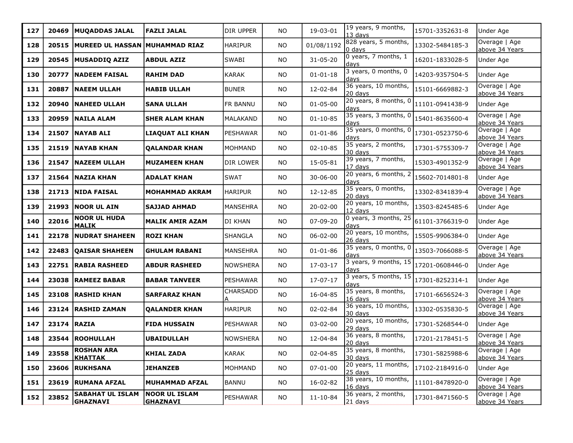| 127 | 20469 | <b>MUQADDAS JALAL</b>                      | <b>FAZLI JALAL</b>                | DIR UPPER            | <b>NO</b> | 19-03-01       | 19 years, 9 months,<br>13 days   | 15701-3352631-8 | Under Age                       |
|-----|-------|--------------------------------------------|-----------------------------------|----------------------|-----------|----------------|----------------------------------|-----------------|---------------------------------|
| 128 | 20515 | MUREED UL HASSAN MUHAMMAD RIAZ             |                                   | <b>HARIPUR</b>       | NO.       | 01/08/1192     | 828 years, 5 months,<br>$0$ days | 13302-5484185-3 | Overage   Age<br>above 34 Years |
| 129 | 20545 | <b>MUSADDIQ AZIZ</b>                       | <b>ABDUL AZIZ</b>                 | <b>SWABI</b>         | NO.       | $31 - 05 - 20$ | 0 years, 7 months, 1<br>davs     | 16201-1833028-5 | Under Age                       |
| 130 | 20777 | <b>NADEEM FAISAL</b>                       | <b>RAHIM DAD</b>                  | <b>KARAK</b>         | <b>NO</b> | $01 - 01 - 18$ | 3 years, 0 months, 0<br>days     | 14203-9357504-5 | Under Age                       |
| 131 | 20887 | <b> NAEEM ULLAH</b>                        | <b>HABIB ULLAH</b>                | <b>BUNER</b>         | NO.       | 12-02-84       | 36 years, 10 months,<br>20 days  | 15101-6669882-3 | Overage   Age<br>above 34 Years |
| 132 | 20940 | <b>NAHEED ULLAH</b>                        | <b>SANA ULLAH</b>                 | FR BANNU             | <b>NO</b> | $01 - 05 - 00$ | 20 years, 8 months, 0<br>days    | 11101-0941438-9 | Under Age                       |
| 133 | 20959 | <b>NAILA ALAM</b>                          | <b>SHER ALAM KHAN</b>             | MALAKAND             | <b>NO</b> | $01 - 10 - 85$ | 35 years, 3 months, 0<br>days    | 15401-8635600-4 | Overage   Age<br>above 34 Years |
| 134 | 21507 | <b>NAYAB ALI</b>                           | <b>LIAQUAT ALI KHAN</b>           | PESHAWAR             | <b>NO</b> | $01 - 01 - 86$ | 35 years, 0 months, 0<br>days    | 17301-0523750-6 | Overage   Age<br>above 34 Years |
| 135 | 21519 | NAYAB KHAN                                 | <b>QALANDAR KHAN</b>              | MOHMAND              | NO        | $02 - 10 - 85$ | 35 years, 2 months,<br>30 days   | 17301-5755309-7 | Overage   Age<br>above 34 Years |
| 136 | 21547 | <b>NAZEEM ULLAH</b>                        | <b>MUZAMEEN KHAN</b>              | DIR LOWER            | NO        | 15-05-81       | 39 years, 7 months,<br>17 days   | 15303-4901352-9 | Overage   Age<br>above 34 Years |
| 137 | 21564 | NAZIA KHAN                                 | <b>ADALAT KHAN</b>                | <b>SWAT</b>          | NO.       | 30-06-00       | 20 years, 6 months, 2<br>davs    | 15602-7014801-8 | Under Age                       |
| 138 | 21713 | <b>NIDA FAISAL</b>                         | <b>MOHAMMAD AKRAM</b>             | <b>HARIPUR</b>       | <b>NO</b> | 12-12-85       | 35 years, 0 months,<br>20 days   | 13302-8341839-4 | Overage   Age<br>above 34 Years |
| 139 | 21993 | <b>NOOR UL AIN</b>                         | <b>SAJJAD AHMAD</b>               | MANSEHRA             | <b>NO</b> | 20-02-00       | 20 years, 10 months,<br>12 days  | 13503-8245485-6 | Under Age                       |
| 140 | 22016 | <b>NOOR UL HUDA</b><br><b>MALIK</b>        | <b>MALIK AMIR AZAM</b>            | <b>DI KHAN</b>       | <b>NO</b> | 07-09-20       | 0 years, 3 months, 25<br>days    | 61101-3766319-0 | Under Age                       |
| 141 | 22178 | <b>NUDRAT SHAHEEN</b>                      | <b>ROZI KHAN</b>                  | <b>SHANGLA</b>       | NO        | 06-02-00       | 20 years, 10 months,<br>26 days  | 15505-9906384-0 | Under Age                       |
| 142 | 22483 | <b>QAISAR SHAHEEN</b>                      | <b>GHULAM RABANI</b>              | MANSEHRA             | <b>NO</b> | $01 - 01 - 86$ | 35 years, 0 months, 0<br>davs    | 13503-7066088-5 | Overage   Age<br>above 34 Years |
| 143 |       | 22751   RABIA RASHEED                      | <b>ABDUR RASHEED</b>              | NOWSHERA             | <b>NO</b> | 17-03-17       | 3 years, 9 months, 15<br>days    | 17201-0608446-0 | Under Age                       |
| 144 | 23038 | RAMEEZ BABAR                               | <b>BABAR TANVEER</b>              | <b>PESHAWAR</b>      | <b>NO</b> | 17-07-17       | 3 years, 5 months, 15<br>days    | 17301-8252314-1 | Under Age                       |
| 145 | 23108 | <b>RASHID KHAN</b>                         | <b>SARFARAZ KHAN</b>              | <b>CHARSADD</b><br>А | ΝO        | 16-04-85       | 35 years, 8 months,<br>16 days   | 17101-6656524-3 | Overage   Age<br>above 34 Years |
| 146 | 23124 | <b>RASHID ZAMAN</b>                        | <b>QALANDER KHAN</b>              | <b>HARIPUR</b>       | <b>NO</b> | 02-02-84       | 36 years, 10 months,<br>30 days  | 13302-0535830-5 | Overage   Age<br>above 34 Years |
| 147 | 23174 | <b>RAZIA</b>                               | <b>FIDA HUSSAIN</b>               | PESHAWAR             | <b>NO</b> | 03-02-00       | 20 years, 10 months,<br>29 days  | 17301-5268544-0 | Under Age                       |
| 148 | 23544 | <b>ROOHULLAH</b>                           | <b>UBAIDULLAH</b>                 | NOWSHERA             | <b>NO</b> | 12-04-84       | 36 years, 8 months,<br>$20$ days | 17201-2178451-5 | Overage   Age<br>above 34 Years |
| 149 | 23558 | <b>ROSHAN ARA</b><br>KHATTAK               | <b>KHIAL ZADA</b>                 | <b>KARAK</b>         | NO.       | 02-04-85       | 35 years, 8 months,<br>30 days   | 17301-5825988-6 | Overage   Age<br>above 34 Years |
| 150 |       | 23606 RUKHSANA                             | <b>JEHANZEB</b>                   | MOHMAND              | <b>NO</b> | $07 - 01 - 00$ | 20 years, 11 months,<br>25 days  | 17102-2184916-0 | Under Age                       |
| 151 |       | 23619 RUMANA AFZAL                         | <b>MUHAMMAD AFZAL</b>             | BANNU                | <b>NO</b> | 16-02-82       | 38 years, 10 months,<br>16 days  | 11101-8478920-0 | Overage   Age<br>above 34 Years |
| 152 | 23852 | <b>SABAHAT UL ISLAM</b><br><b>GHAZNAVI</b> | NOOR UL ISLAM <br><b>GHAZNAVI</b> | PESHAWAR             | NO.       | $11 - 10 - 84$ | 36 years, 2 months,<br>$21$ days | 17301-8471560-5 | Overage   Age<br>above 34 Years |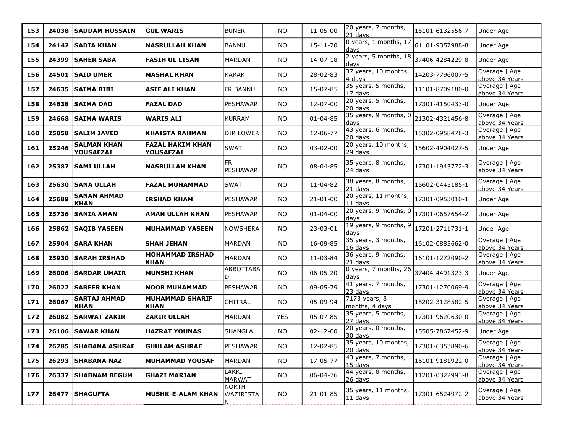| 153 | 24038 | <b>SADDAM HUSSAIN</b>                  | <b>GUL WARIS</b>                            | <b>BUNER</b>                          | NO.        | $11 - 05 - 00$ | 20 years, 7 months,<br>21 days    | 15101-6132556-7 | Under Age                       |
|-----|-------|----------------------------------------|---------------------------------------------|---------------------------------------|------------|----------------|-----------------------------------|-----------------|---------------------------------|
| 154 | 24142 | <b>SADIA KHAN</b>                      | <b>NASRULLAH KHAN</b>                       | BANNU                                 | <b>NO</b>  | $15 - 11 - 20$ | 0 years, 1 months, 17<br>days     | 61101-9357988-8 | Under Age                       |
| 155 | 24399 | SAHER SABA                             | <b>FASIH UL LISAN</b>                       | MARDAN                                | <b>NO</b>  | $14 - 07 - 18$ | 2 years, 5 months, 18<br>davs     | 37406-4284229-8 | Under Age                       |
| 156 |       | 24501 SAID UMER                        | <b>MASHAL KHAN</b>                          | <b>KARAK</b>                          | NO         | 28-02-83       | 37 years, 10 months,<br>4 days    | 14203-7796007-5 | Overage   Age<br>above 34 Years |
| 157 | 24635 | SAIMA BIBI                             | <b>ASIF ALI KHAN</b>                        | FR BANNU                              | NO         | 15-07-85       | 35 years, 5 months,<br>$17$ days  | 11101-8709180-0 | Overage   Age<br>above 34 Years |
| 158 | 24638 | SAIMA DAD                              | <b>FAZAL DAD</b>                            | <b>PESHAWAR</b>                       | <b>NO</b>  | 12-07-00       | 20 years, 5 months,<br>20 days    | 17301-4150433-0 | Under Age                       |
| 159 | 24668 | <b>SAIMA WARIS</b>                     | <b>WARIS ALI</b>                            | <b>KURRAM</b>                         | <b>NO</b>  | $01 - 04 - 85$ | 35 years, 9 months, 0<br>days     | 21302-4321456-8 | Overage   Age<br>above 34 Years |
| 160 | 25058 | <b>SALIM JAVED</b>                     | <b>KHAISTA RAHMAN</b>                       | DIR LOWER                             | NO         | 12-06-77       | 43 years, 6 months,<br>20 days    | 15302-0958478-3 | Overage   Age<br>above 34 Years |
| 161 | 25246 | <b>SALMAN KHAN</b><br><b>YOUSAFZAI</b> | <b>FAZAL HAKIM KHAN</b><br><b>YOUSAFZAI</b> | <b>SWAT</b>                           | <b>NO</b>  | 03-02-00       | 20 years, 10 months,<br>29 days   | 15602-4904027-5 | Under Age                       |
| 162 | 25387 | <b>SAMI ULLAH</b>                      | <b>NASRULLAH KHAN</b>                       | <b>FR</b><br>PESHAWAR                 | NO.        | 08-04-85       | 35 years, 8 months,<br>24 days    | 17301-1943772-3 | Overage   Age<br>above 34 Years |
| 163 | 25630 | SANA ULLAH                             | <b>FAZAL MUHAMMAD</b>                       | SWAT                                  | NO.        | 11-04-82       | 38 years, 8 months,<br>21 days    | 15602-0445185-1 | Overage   Age<br>above 34 Years |
| 164 | 25689 | <b>SANAN AHMAD</b><br><b>KHAN</b>      | <b>IRSHAD KHAM</b>                          | <b>PESHAWAR</b>                       | <b>NO</b>  | $21 - 01 - 00$ | 20 years, 11 months,<br>11 days   | 17301-0953010-1 | Under Age                       |
| 165 | 25736 | <b>ISANIA AMAN</b>                     | <b>AMAN ULLAH KHAN</b>                      | <b>PESHAWAR</b>                       | <b>NO</b>  | $01 - 04 - 00$ | 20 years, 9 months, 0<br>days     | 17301-0657654-2 | Under Age                       |
| 166 | 25862 | <b>SAQIB YASEEN</b>                    | <b>MUHAMMAD YASEEN</b>                      | INOWSHERA                             | NO         | 23-03-01       | 19 years, 9 months, 9<br>davs     | 17201-2711731-1 | Under Age                       |
| 167 |       | 25904 SARA KHAN                        | <b>SHAH JEHAN</b>                           | MARDAN                                | <b>NO</b>  | 16-09-85       | 35 years, 3 months,<br>16 days    | 16102-0883662-0 | Overage   Age<br>above 34 Years |
| 168 | 25930 | <b>SARAH IRSHAD</b>                    | <b>MOHAMMAD IRSHAD</b><br><b>KHAN</b>       | MARDAN                                | <b>NO</b>  | 11-03-84       | 36 years, 9 months,<br>$21$ days  | 16101-1272090-2 | Overage   Age<br>above 34 Years |
| 169 | 26006 | <b>SARDAR UMAIR</b>                    | <b>MUNSHI KHAN</b>                          | ABBOTTABA<br>D.                       | <b>NO</b>  | $06 - 05 - 20$ | 0 years, 7 months, 26<br>davs     | 37404-4491323-3 | Under Age                       |
| 170 |       | 26022   SAREER KHAN                    | <b>NOOR MUHAMMAD</b>                        | <b>PESHAWAR</b>                       | <b>NO</b>  | 09-05-79       | 41 years, 7 months,<br>23 days    | 17301-1270069-9 | Overage   Age<br>above 34 Years |
| 171 | 26067 | <b>SARTAJ AHMAD</b><br><b>KHAN</b>     | <b>MUHAMMAD SHARIF</b><br><b>KHAN</b>       | <b>CHITRAL</b>                        | <b>NO</b>  | 05-09-94       | 7173 years, 8<br>months, 4 days   | 15202-3128582-5 | Overage   Age<br>above 34 Years |
| 172 | 26082 | <b>SARWAT ZAKIR</b>                    | <b>ZAKIR ULLAH</b>                          | <b>MARDAN</b>                         | <b>YES</b> | 05-07-85       | 35 years, 5 months,<br>27 days    | 17301-9620630-0 | Overage   Age<br>above 34 Years |
| 173 |       | 26106 SAWAR KHAN                       | <b>HAZRAT YOUNAS</b>                        | SHANGLA                               | ΝO         | $02 - 12 - 00$ | 20 years, 0 months,<br>30 days    | 15505-7867452-9 | Under Age                       |
| 174 |       | 26285 SHABANA ASHRAF                   | <b>GHULAM ASHRAF</b>                        | PESHAWAR                              | <b>NO</b>  | 12-02-85       | 35 years, 10 months,<br>20 days   | 17301-6353890-6 | Overage   Age<br>above 34 Years |
| 175 |       | 26293 SHABANA NAZ                      | <b>MUHAMMAD YOUSAF</b>                      | <b>MARDAN</b>                         | NO         | 17-05-77       | 43 years, 7 months,<br>$15$ days  | 16101-9181922-0 | Overage   Age<br>above 34 Years |
| 176 | 26337 | <b>SHABNAM BEGUM</b>                   | <b>GHAZI MARJAN</b>                         | LAKKI<br><b>MARWAT</b>                | NO.        | 06-04-76       | 44 years, 8 months,<br>26 days    | 11201-0322993-8 | Overage   Age<br>above 34 Years |
| 177 | 26477 | <b>SHAGUFTA</b>                        | MUSHK-E-ALAM KHAN                           | <b>NORTH</b><br><b>WAZIRISTA</b><br>N | NO         | $21 - 01 - 85$ | 35 years, 11 months,<br>$11$ days | 17301-6524972-2 | Overage   Age<br>above 34 Years |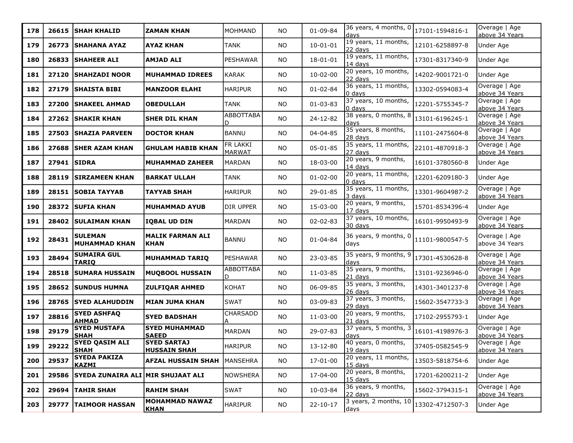| 178 | 26615       | <b>SHAH KHALID</b>                       | <b>ZAMAN KHAN</b>                           | IMOHMAND           | NO.       | $01 - 09 - 84$ | $\frac{1}{36}$ years, 4 months, 0   17101-1594816-1<br>days |                 | Overage   Age<br>above 34 Years |
|-----|-------------|------------------------------------------|---------------------------------------------|--------------------|-----------|----------------|-------------------------------------------------------------|-----------------|---------------------------------|
| 179 | 26773       | <b>ISHAHANA AYAZ</b>                     | <b>AYAZ KHAN</b>                            | TANK               | <b>NO</b> | $10 - 01 - 01$ | 19 years, 11 months,<br>22 days                             | 12101-6258897-8 | Under Age                       |
| 180 | 26833       | SHAHEER ALI                              | <b>AMJAD ALI</b>                            | PESHAWAR           | <b>NO</b> | $18 - 01 - 01$ | 19 years, 11 months,<br>14 days                             | 17301-8317340-9 | Under Age                       |
| 181 | 27120       | <b>SHAHZADI NOOR</b>                     | <b>MUHAMMAD IDREES</b>                      | KARAK              | <b>NO</b> | $10 - 02 - 00$ | 20 years, 10 months,<br>22 days                             | 14202-9001721-0 | Under Age                       |
| 182 | 27179       | <b>SHAISTA BIBI</b>                      | <b>MANZOOR ELAHI</b>                        | HARIPUR            | NO        | $01 - 02 - 84$ | 36 years, 11 months,<br>$0$ days                            | 13302-0594083-4 | Overage   Age<br>above 34 Years |
| 183 | 27200       | <b>SHAKEEL AHMAD</b>                     | <b>OBEDULLAH</b>                            | TANK               | <b>NO</b> | $01 - 03 - 83$ | 37 years, 10 months,<br>$0$ days                            | 12201-5755345-7 | Overage   Age<br>above 34 Years |
| 184 |             | 27262 ISHAKIR KHAN                       | <b>SHER DIL KHAN</b>                        | ABBOTTABA<br>D     | <b>NO</b> | 24-12-82       | 38 years, 0 months, 8<br>days                               | 13101-6196245-1 | Overage   Age<br>above 34 Years |
| 185 | 27503       | <b>SHAZIA PARVEEN</b>                    | <b>DOCTOR KHAN</b>                          | BANNU              | <b>NO</b> | 04-04-85       | 35 years, 8 months,<br>28 days                              | 11101-2475604-8 | Overage   Age<br>above 34 Years |
| 186 | 27688       | <b>SHER AZAM KHAN</b>                    | <b>GHULAM HABIB KHAN</b>                    | FR LAKKI<br>MARWAT | NO        | $05 - 01 - 85$ | 35 years, 11 months,<br>27 days                             | 22101-4870918-3 | Overage   Age<br>above 34 Years |
| 187 | 27941 SIDRA |                                          | <b>MUHAMMAD ZAHEER</b>                      | MARDAN             | <b>NO</b> | 18-03-00       | 20 years, 9 months,<br>14 days                              | 16101-3780560-8 | Under Age                       |
| 188 | 28119       | <b>SIRZAMEEN KHAN</b>                    | <b>BARKAT ULLAH</b>                         | TANK               | <b>NO</b> | $01 - 02 - 00$ | 20 years, 11 months,<br>$0$ days                            | 12201-6209180-3 | Under Age                       |
| 189 |             | 28151   SOBIA TAYYAB                     | TAYYAB SHAH                                 | HARIPUR            | NO        | 29-01-85       | 35 years, 11 months,<br>3 davs                              | 13301-9604987-2 | Overage   Age<br>above 34 Years |
| 190 | 28372       | <b>SUFIA KHAN</b>                        | MUHAMMAD AYUB                               | DIR UPPER          | <b>NO</b> | 15-03-00       | 20 years, 9 months,<br>17 days                              | 15701-8534396-4 | Under Age                       |
| 191 | 28402       | <b>SULAIMAN KHAN</b>                     | <b>IQBAL UD DIN</b>                         | MARDAN             | <b>NO</b> | $02 - 02 - 83$ | 37 years, 10 months,<br>30 days                             | 16101-9950493-9 | Overage   Age<br>above 34 Years |
| 192 | 28431       | <b>SULEMAN</b><br>MUHAMMAD KHAN          | <b>MALIK FARMAN ALI</b><br><b>KHAN</b>      | BANNU              | <b>NO</b> | $01 - 04 - 84$ | 36 years, 9 months, 0<br>days                               | 11101-9800547-5 | Overage   Age<br>above 34 Years |
| 193 | 28494       | <b>SUMAIRA GUL</b><br><b>TARIQ</b>       | <b>MUHAMMAD TARIQ</b>                       | PESHAWAR           | <b>NO</b> | 23-03-85       | 35 years, 9 months, 9<br>days                               | 17301-4530628-8 | Overage   Age<br>above 34 Years |
| 194 | 28518       | <b>SUMARA HUSSAIN</b>                    | <b>MUQBOOL HUSSAIN</b>                      | ABBOTTABA<br>D.    | NO        | 11-03-85       | 35 years, 9 months,<br>21 days                              | 13101-9236946-0 | Overage   Age<br>above 34 Years |
| 195 |             | 28652   SUNDUS HUMNA                     | <b>ZULFIQAR AHMED</b>                       | KOHAT              | NO        | 06-09-85       | 35 years, 3 months,<br>26 days                              | 14301-3401237-8 | Overage   Age<br>above 34 Years |
| 196 | 28765       | <b>SYED ALAHUDDIN</b>                    | <b>MIAN JUMA KHAN</b>                       | <b>SWAT</b>        | NO        | 03-09-83       | 37 years, 3 months,<br>29 days                              | 15602-3547733-3 | Overage   Age<br>above 34 Years |
| 197 | 28816       | <b>SYED ASHFAO</b><br><b>AHMAD</b>       | <b>SYED BADSHAH</b>                         | <b>CHARSADD</b>    | <b>NO</b> | 11-03-00       | 20 years, 9 months,<br>21 days                              | 17102-2955793-1 | Under Age                       |
| 198 | 29179       | <b>SYED MUSTAFA</b><br><b>SHAH</b>       | <b>SYED MUHAMMAD</b><br><b>SAEED</b>        | MARDAN             | <b>NO</b> | 29-07-83       | 37 years, 5 months, 3<br>days                               | 16101-4198976-3 | Overage   Age<br>above 34 Years |
| 199 | 29222       | <b>SYED QASIM ALI</b><br>lshah           | <b>SYED SARTAJ</b><br><u> HUSSAIN SHAH_</u> | HARIPUR            | <b>NO</b> | 13-12-80       | 40 years, 0 months,<br>19 days                              | 37405-0582545-9 | Overage   Age<br>above 34 Years |
| 200 | 29537       | <b>SYEDA PAKIZA</b><br><b>KAZMI</b>      | <b>AFZAL HUSSAIN SHAH</b>                   | MANSEHRA           | <b>NO</b> | 17-01-00       | 20 years, 11 months,<br>$15$ days                           | 13503-5818754-6 | Under Age                       |
| 201 | 29586       | <b>SYEDA ZUNAIRA ALI MIR SHUJAAT ALI</b> |                                             | NOWSHERA           | <b>NO</b> | 17-04-00       | 20 years, 8 months,<br>15 days                              | 17201-6200211-2 | Under Age                       |
| 202 |             | 29694 TAHIR SHAH                         | <b>RAHIM SHAH</b>                           | <b>SWAT</b>        | NO        | 10-03-84       | 36 years, 9 months,<br>22 days                              | 15602-3794315-1 | Overage   Age<br>above 34 Years |
| 203 | 29777       | <b>TAIMOOR HASSAN</b>                    | <b>MOHAMMAD NAWAZ</b><br><b>KHAN</b>        | HARIPUR            | NO        | $22 - 10 - 17$ | 3 years, 2 months, 10<br>days                               | 13302-4712507-3 | Under Age                       |